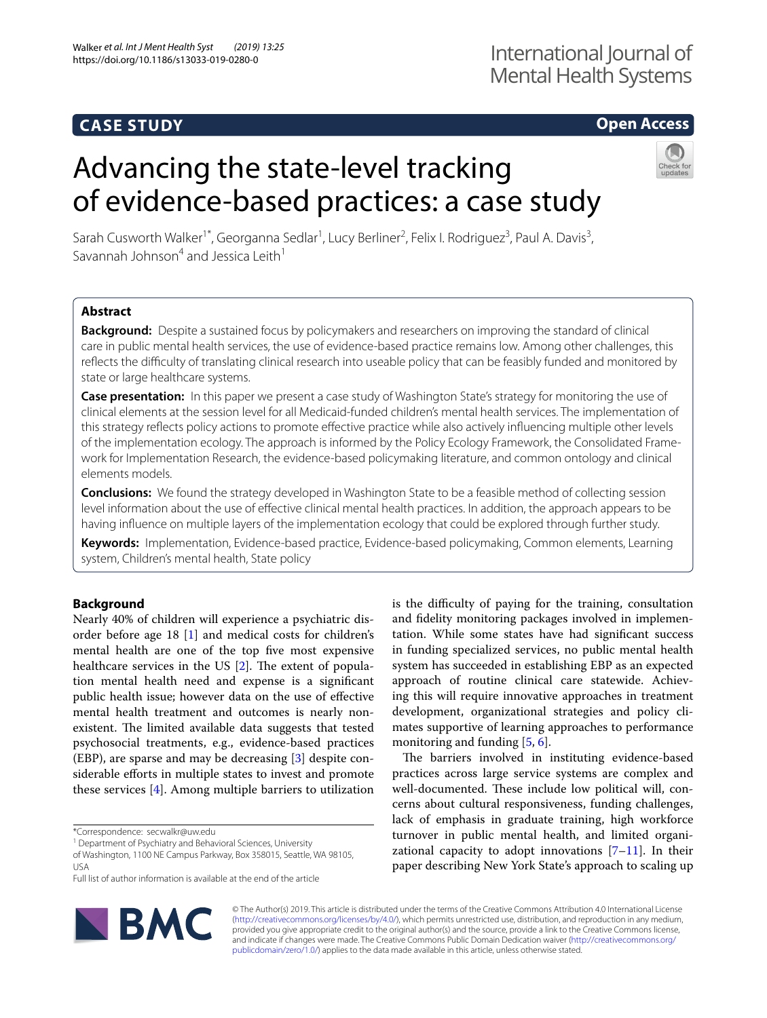# **CASE STUDY**

# **Open Access**

# Advancing the state-level tracking of evidence-based practices: a case study



Sarah Cusworth Walker<sup>1\*</sup>, Georganna Sedlar<sup>1</sup>, Lucy Berliner<sup>2</sup>, Felix I. Rodriguez<sup>3</sup>, Paul A. Davis<sup>3</sup>, Savannah Johnson<sup>4</sup> and Jessica Leith<sup>1</sup>

# **Abstract**

**Background:** Despite a sustained focus by policymakers and researchers on improving the standard of clinical care in public mental health services, the use of evidence-based practice remains low. Among other challenges, this refects the difculty of translating clinical research into useable policy that can be feasibly funded and monitored by state or large healthcare systems.

**Case presentation:** In this paper we present a case study of Washington State's strategy for monitoring the use of clinical elements at the session level for all Medicaid-funded children's mental health services. The implementation of this strategy refects policy actions to promote efective practice while also actively infuencing multiple other levels of the implementation ecology. The approach is informed by the Policy Ecology Framework, the Consolidated Framework for Implementation Research, the evidence-based policymaking literature, and common ontology and clinical elements models.

**Conclusions:** We found the strategy developed in Washington State to be a feasible method of collecting session level information about the use of efective clinical mental health practices. In addition, the approach appears to be having infuence on multiple layers of the implementation ecology that could be explored through further study.

**Keywords:** Implementation, Evidence-based practice, Evidence-based policymaking, Common elements, Learning system, Children's mental health, State policy

# **Background**

Nearly 40% of children will experience a psychiatric disorder before age 18 [[1\]](#page-7-0) and medical costs for children's mental health are one of the top fve most expensive healthcare services in the US  $[2]$  $[2]$ . The extent of population mental health need and expense is a signifcant public health issue; however data on the use of efective mental health treatment and outcomes is nearly nonexistent. The limited available data suggests that tested psychosocial treatments, e.g., evidence-based practices (EBP), are sparse and may be decreasing [\[3](#page-7-2)] despite considerable eforts in multiple states to invest and promote these services [\[4](#page-7-3)]. Among multiple barriers to utilization

\*Correspondence: secwalkr@uw.edu

<sup>1</sup> Department of Psychiatry and Behavioral Sciences, University

Full list of author information is available at the end of the article



is the difficulty of paying for the training, consultation and fdelity monitoring packages involved in implementation. While some states have had signifcant success in funding specialized services, no public mental health system has succeeded in establishing EBP as an expected approach of routine clinical care statewide. Achieving this will require innovative approaches in treatment development, organizational strategies and policy climates supportive of learning approaches to performance monitoring and funding [\[5](#page-7-4), [6\]](#page-7-5).

The barriers involved in instituting evidence-based practices across large service systems are complex and well-documented. These include low political will, concerns about cultural responsiveness, funding challenges, lack of emphasis in graduate training, high workforce turnover in public mental health, and limited organizational capacity to adopt innovations  $[7-11]$  $[7-11]$  $[7-11]$ . In their paper describing New York State's approach to scaling up

© The Author(s) 2019. This article is distributed under the terms of the Creative Commons Attribution 4.0 International License [\(http://creativecommons.org/licenses/by/4.0/\)](http://creativecommons.org/licenses/by/4.0/), which permits unrestricted use, distribution, and reproduction in any medium, provided you give appropriate credit to the original author(s) and the source, provide a link to the Creative Commons license, and indicate if changes were made. The Creative Commons Public Domain Dedication waiver ([http://creativecommons.org/](http://creativecommons.org/publicdomain/zero/1.0/) [publicdomain/zero/1.0/](http://creativecommons.org/publicdomain/zero/1.0/)) applies to the data made available in this article, unless otherwise stated.

of Washington, 1100 NE Campus Parkway, Box 358015, Seattle, WA 98105, USA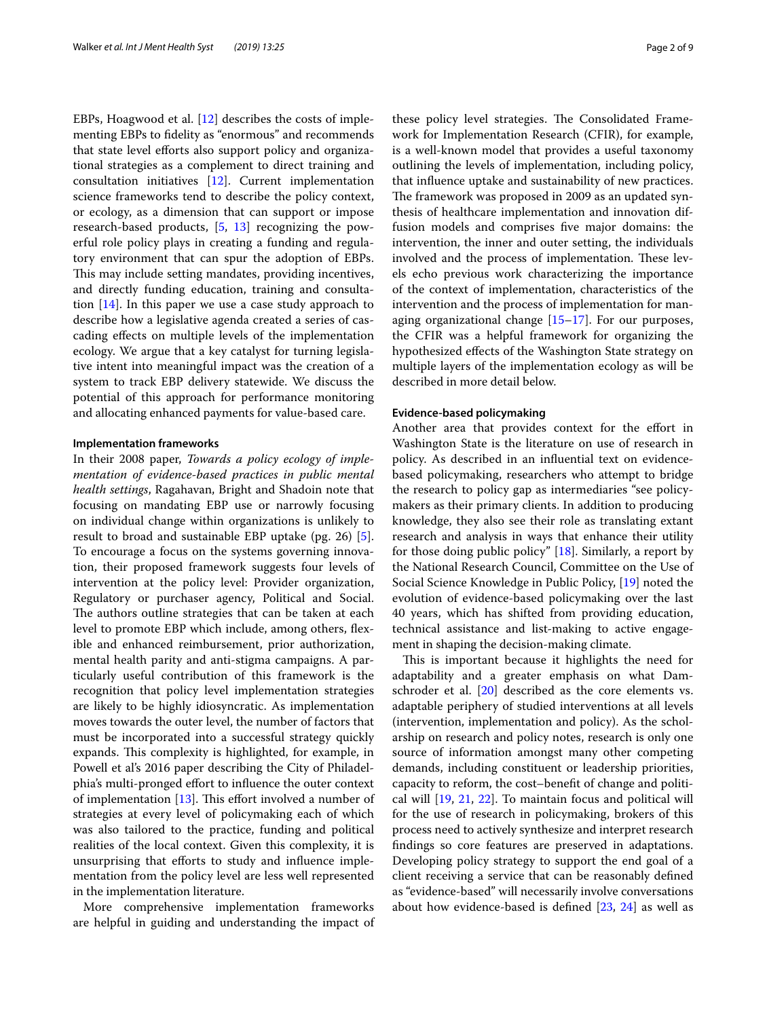EBPs, Hoagwood et al. [[12](#page-7-8)] describes the costs of implementing EBPs to fdelity as "enormous" and recommends that state level efforts also support policy and organizational strategies as a complement to direct training and consultation initiatives [[12\]](#page-7-8). Current implementation science frameworks tend to describe the policy context, or ecology, as a dimension that can support or impose research-based products, [[5,](#page-7-4) [13](#page-7-9)] recognizing the powerful role policy plays in creating a funding and regulatory environment that can spur the adoption of EBPs. This may include setting mandates, providing incentives, and directly funding education, training and consultation  $[14]$  $[14]$ . In this paper we use a case study approach to describe how a legislative agenda created a series of cascading efects on multiple levels of the implementation ecology. We argue that a key catalyst for turning legislative intent into meaningful impact was the creation of a system to track EBP delivery statewide. We discuss the potential of this approach for performance monitoring and allocating enhanced payments for value-based care.

## **Implementation frameworks**

In their 2008 paper, *Towards a policy ecology of implementation of evidence*-*based practices in public mental health settings*, Ragahavan, Bright and Shadoin note that focusing on mandating EBP use or narrowly focusing on individual change within organizations is unlikely to result to broad and sustainable EBP uptake (pg. 26) [\[5](#page-7-4)]. To encourage a focus on the systems governing innovation, their proposed framework suggests four levels of intervention at the policy level: Provider organization, Regulatory or purchaser agency, Political and Social. The authors outline strategies that can be taken at each level to promote EBP which include, among others, fexible and enhanced reimbursement, prior authorization, mental health parity and anti-stigma campaigns. A particularly useful contribution of this framework is the recognition that policy level implementation strategies are likely to be highly idiosyncratic. As implementation moves towards the outer level, the number of factors that must be incorporated into a successful strategy quickly expands. This complexity is highlighted, for example, in Powell et al's 2016 paper describing the City of Philadelphia's multi-pronged effort to influence the outer context of implementation  $[13]$  $[13]$ . This effort involved a number of strategies at every level of policymaking each of which was also tailored to the practice, funding and political realities of the local context. Given this complexity, it is unsurprising that eforts to study and infuence implementation from the policy level are less well represented in the implementation literature.

More comprehensive implementation frameworks are helpful in guiding and understanding the impact of these policy level strategies. The Consolidated Framework for Implementation Research (CFIR), for example, is a well-known model that provides a useful taxonomy outlining the levels of implementation, including policy, that infuence uptake and sustainability of new practices. The framework was proposed in 2009 as an updated synthesis of healthcare implementation and innovation diffusion models and comprises fve major domains: the intervention, the inner and outer setting, the individuals involved and the process of implementation. These levels echo previous work characterizing the importance of the context of implementation, characteristics of the intervention and the process of implementation for managing organizational change [[15](#page-7-11)[–17](#page-7-12)]. For our purposes, the CFIR was a helpful framework for organizing the hypothesized efects of the Washington State strategy on multiple layers of the implementation ecology as will be described in more detail below.

#### **Evidence‑based policymaking**

Another area that provides context for the effort in Washington State is the literature on use of research in policy. As described in an infuential text on evidencebased policymaking, researchers who attempt to bridge the research to policy gap as intermediaries "see policymakers as their primary clients. In addition to producing knowledge, they also see their role as translating extant research and analysis in ways that enhance their utility for those doing public policy" [[18\]](#page-7-13). Similarly, a report by the National Research Council, Committee on the Use of Social Science Knowledge in Public Policy, [\[19\]](#page-7-14) noted the evolution of evidence-based policymaking over the last 40 years, which has shifted from providing education, technical assistance and list-making to active engagement in shaping the decision-making climate.

This is important because it highlights the need for adaptability and a greater emphasis on what Damschroder et al. [[20\]](#page-7-15) described as the core elements vs. adaptable periphery of studied interventions at all levels (intervention, implementation and policy). As the scholarship on research and policy notes, research is only one source of information amongst many other competing demands, including constituent or leadership priorities, capacity to reform, the cost–beneft of change and political will [[19,](#page-7-14) [21,](#page-7-16) [22](#page-7-17)]. To maintain focus and political will for the use of research in policymaking, brokers of this process need to actively synthesize and interpret research fndings so core features are preserved in adaptations. Developing policy strategy to support the end goal of a client receiving a service that can be reasonably defned as "evidence-based" will necessarily involve conversations about how evidence-based is defned [\[23](#page-7-18), [24\]](#page-7-19) as well as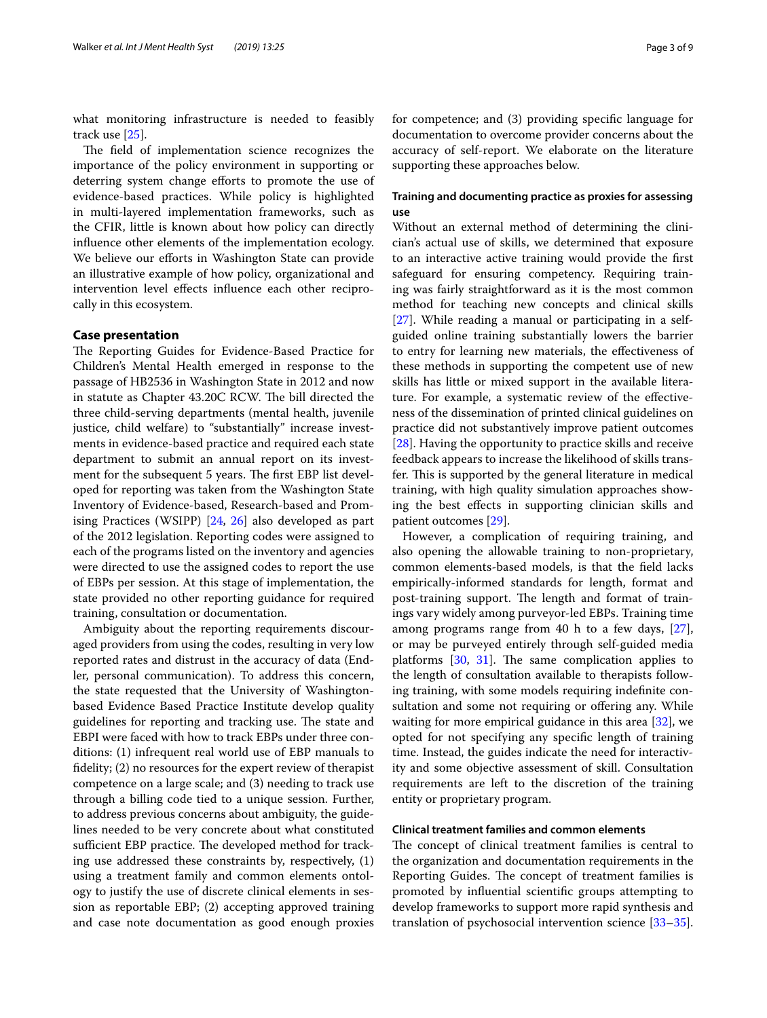what monitoring infrastructure is needed to feasibly track use [[25\]](#page-8-0).

The field of implementation science recognizes the importance of the policy environment in supporting or deterring system change efforts to promote the use of evidence-based practices. While policy is highlighted in multi-layered implementation frameworks, such as the CFIR, little is known about how policy can directly infuence other elements of the implementation ecology. We believe our efforts in Washington State can provide an illustrative example of how policy, organizational and intervention level efects infuence each other reciprocally in this ecosystem.

# **Case presentation**

The Reporting Guides for Evidence-Based Practice for Children's Mental Health emerged in response to the passage of HB2536 in Washington State in 2012 and now in statute as Chapter 43.20C RCW. The bill directed the three child-serving departments (mental health, juvenile justice, child welfare) to "substantially" increase investments in evidence-based practice and required each state department to submit an annual report on its investment for the subsequent 5 years. The first EBP list developed for reporting was taken from the Washington State Inventory of Evidence-based, Research-based and Promising Practices (WSIPP) [\[24](#page-7-19), [26](#page-8-1)] also developed as part of the 2012 legislation. Reporting codes were assigned to each of the programs listed on the inventory and agencies were directed to use the assigned codes to report the use of EBPs per session. At this stage of implementation, the state provided no other reporting guidance for required training, consultation or documentation.

Ambiguity about the reporting requirements discouraged providers from using the codes, resulting in very low reported rates and distrust in the accuracy of data (Endler, personal communication). To address this concern, the state requested that the University of Washingtonbased Evidence Based Practice Institute develop quality guidelines for reporting and tracking use. The state and EBPI were faced with how to track EBPs under three conditions: (1) infrequent real world use of EBP manuals to fdelity; (2) no resources for the expert review of therapist competence on a large scale; and (3) needing to track use through a billing code tied to a unique session. Further, to address previous concerns about ambiguity, the guidelines needed to be very concrete about what constituted sufficient EBP practice. The developed method for tracking use addressed these constraints by, respectively, (1) using a treatment family and common elements ontology to justify the use of discrete clinical elements in session as reportable EBP; (2) accepting approved training and case note documentation as good enough proxies for competence; and (3) providing specifc language for documentation to overcome provider concerns about the accuracy of self-report. We elaborate on the literature supporting these approaches below.

# **Training and documenting practice as proxies for assessing use**

Without an external method of determining the clinician's actual use of skills, we determined that exposure to an interactive active training would provide the frst safeguard for ensuring competency. Requiring training was fairly straightforward as it is the most common method for teaching new concepts and clinical skills [[27\]](#page-8-2). While reading a manual or participating in a selfguided online training substantially lowers the barrier to entry for learning new materials, the efectiveness of these methods in supporting the competent use of new skills has little or mixed support in the available literature. For example, a systematic review of the efectiveness of the dissemination of printed clinical guidelines on practice did not substantively improve patient outcomes [[28\]](#page-8-3). Having the opportunity to practice skills and receive feedback appears to increase the likelihood of skills transfer. This is supported by the general literature in medical training, with high quality simulation approaches showing the best efects in supporting clinician skills and patient outcomes [[29\]](#page-8-4).

However, a complication of requiring training, and also opening the allowable training to non-proprietary, common elements-based models, is that the feld lacks empirically-informed standards for length, format and post-training support. The length and format of trainings vary widely among purveyor-led EBPs. Training time among programs range from 40 h to a few days, [\[27](#page-8-2)], or may be purveyed entirely through self-guided media platforms  $[30, 31]$  $[30, 31]$  $[30, 31]$  $[30, 31]$ . The same complication applies to the length of consultation available to therapists following training, with some models requiring indefnite consultation and some not requiring or offering any. While waiting for more empirical guidance in this area [\[32](#page-8-7)], we opted for not specifying any specifc length of training time. Instead, the guides indicate the need for interactivity and some objective assessment of skill. Consultation requirements are left to the discretion of the training entity or proprietary program.

## **Clinical treatment families and common elements**

The concept of clinical treatment families is central to the organization and documentation requirements in the Reporting Guides. The concept of treatment families is promoted by infuential scientifc groups attempting to develop frameworks to support more rapid synthesis and translation of psychosocial intervention science [[33](#page-8-8)[–35](#page-8-9)].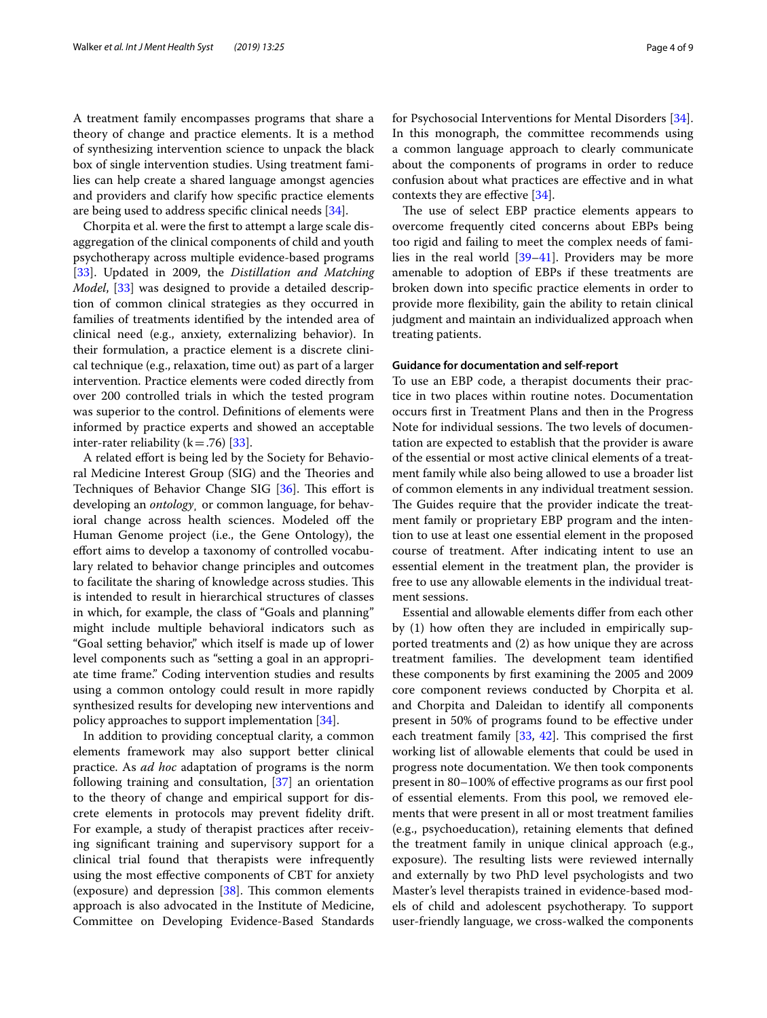A treatment family encompasses programs that share a theory of change and practice elements. It is a method of synthesizing intervention science to unpack the black box of single intervention studies. Using treatment families can help create a shared language amongst agencies and providers and clarify how specifc practice elements are being used to address specifc clinical needs [\[34](#page-8-10)].

Chorpita et al. were the frst to attempt a large scale disaggregation of the clinical components of child and youth psychotherapy across multiple evidence-based programs [[33\]](#page-8-8). Updated in 2009, the *Distillation and Matching Model*, [\[33](#page-8-8)] was designed to provide a detailed description of common clinical strategies as they occurred in families of treatments identifed by the intended area of clinical need (e.g., anxiety, externalizing behavior). In their formulation, a practice element is a discrete clinical technique (e.g., relaxation, time out) as part of a larger intervention. Practice elements were coded directly from over 200 controlled trials in which the tested program was superior to the control. Defnitions of elements were informed by practice experts and showed an acceptable inter-rater reliability ( $k = .76$ ) [[33\]](#page-8-8).

A related efort is being led by the Society for Behavioral Medicine Interest Group (SIG) and the Theories and Techniques of Behavior Change SIG [\[36](#page-8-11)]. This effort is developing an *ontology¸* or common language, for behavioral change across health sciences. Modeled off the Human Genome project (i.e., the Gene Ontology), the efort aims to develop a taxonomy of controlled vocabulary related to behavior change principles and outcomes to facilitate the sharing of knowledge across studies. This is intended to result in hierarchical structures of classes in which, for example, the class of "Goals and planning" might include multiple behavioral indicators such as "Goal setting behavior," which itself is made up of lower level components such as "setting a goal in an appropriate time frame." Coding intervention studies and results using a common ontology could result in more rapidly synthesized results for developing new interventions and policy approaches to support implementation [\[34](#page-8-10)].

In addition to providing conceptual clarity, a common elements framework may also support better clinical practice. As *ad hoc* adaptation of programs is the norm following training and consultation, [\[37](#page-8-12)] an orientation to the theory of change and empirical support for discrete elements in protocols may prevent fdelity drift. For example, a study of therapist practices after receiving signifcant training and supervisory support for a clinical trial found that therapists were infrequently using the most efective components of CBT for anxiety (exposure) and depression  $[38]$  $[38]$  $[38]$ . This common elements approach is also advocated in the Institute of Medicine, Committee on Developing Evidence-Based Standards for Psychosocial Interventions for Mental Disorders [\[34](#page-8-10)]. In this monograph, the committee recommends using a common language approach to clearly communicate about the components of programs in order to reduce confusion about what practices are efective and in what contexts they are efective [[34\]](#page-8-10).

The use of select EBP practice elements appears to overcome frequently cited concerns about EBPs being too rigid and failing to meet the complex needs of families in the real world [\[39–](#page-8-14)[41\]](#page-8-15). Providers may be more amenable to adoption of EBPs if these treatments are broken down into specifc practice elements in order to provide more fexibility, gain the ability to retain clinical judgment and maintain an individualized approach when treating patients.

## **Guidance for documentation and self‑report**

To use an EBP code, a therapist documents their practice in two places within routine notes. Documentation occurs frst in Treatment Plans and then in the Progress Note for individual sessions. The two levels of documentation are expected to establish that the provider is aware of the essential or most active clinical elements of a treatment family while also being allowed to use a broader list of common elements in any individual treatment session. The Guides require that the provider indicate the treatment family or proprietary EBP program and the intention to use at least one essential element in the proposed course of treatment. After indicating intent to use an essential element in the treatment plan, the provider is free to use any allowable elements in the individual treatment sessions.

Essential and allowable elements difer from each other by (1) how often they are included in empirically supported treatments and (2) as how unique they are across treatment families. The development team identified these components by frst examining the 2005 and 2009 core component reviews conducted by Chorpita et al. and Chorpita and Daleidan to identify all components present in 50% of programs found to be efective under each treatment family  $[33, 42]$  $[33, 42]$  $[33, 42]$ . This comprised the first working list of allowable elements that could be used in progress note documentation. We then took components present in 80–100% of efective programs as our frst pool of essential elements. From this pool, we removed elements that were present in all or most treatment families (e.g., psychoeducation), retaining elements that defned the treatment family in unique clinical approach (e.g., exposure). The resulting lists were reviewed internally and externally by two PhD level psychologists and two Master's level therapists trained in evidence-based models of child and adolescent psychotherapy. To support user-friendly language, we cross-walked the components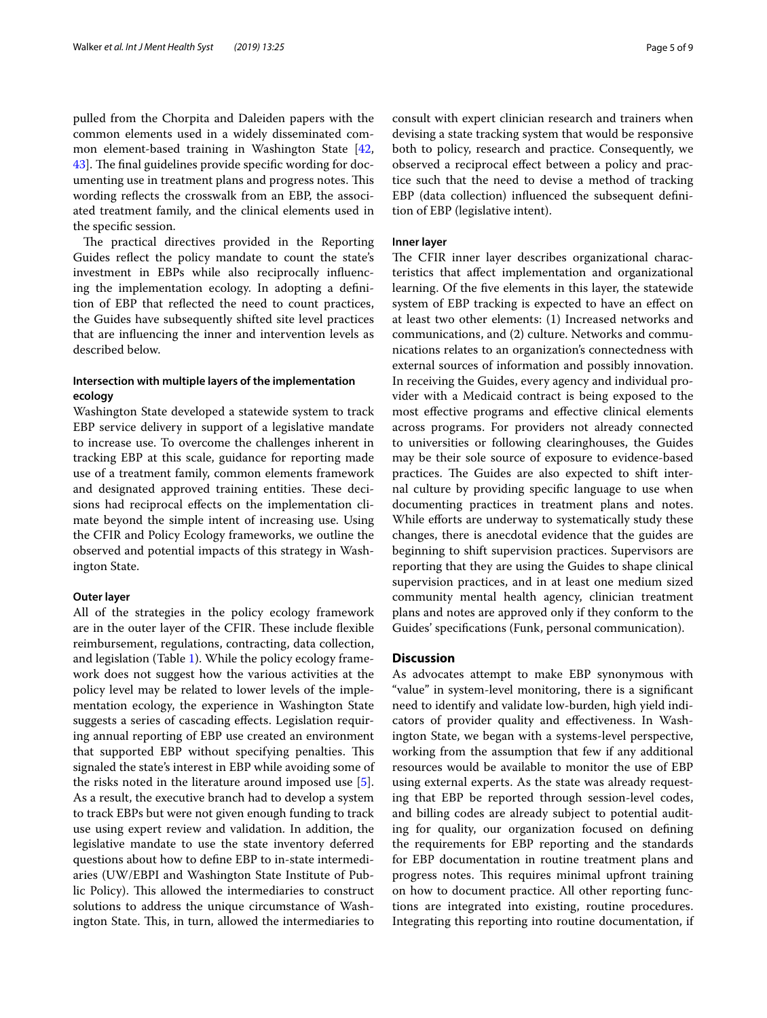pulled from the Chorpita and Daleiden papers with the common elements used in a widely disseminated common element-based training in Washington State [\[42](#page-8-16), 43. The final guidelines provide specific wording for documenting use in treatment plans and progress notes. This wording refects the crosswalk from an EBP, the associated treatment family, and the clinical elements used in the specifc session.

The practical directives provided in the Reporting Guides refect the policy mandate to count the state's investment in EBPs while also reciprocally infuencing the implementation ecology. In adopting a defnition of EBP that refected the need to count practices, the Guides have subsequently shifted site level practices that are infuencing the inner and intervention levels as described below.

# **Intersection with multiple layers of the implementation ecology**

Washington State developed a statewide system to track EBP service delivery in support of a legislative mandate to increase use. To overcome the challenges inherent in tracking EBP at this scale, guidance for reporting made use of a treatment family, common elements framework and designated approved training entities. These decisions had reciprocal efects on the implementation climate beyond the simple intent of increasing use. Using the CFIR and Policy Ecology frameworks, we outline the observed and potential impacts of this strategy in Washington State.

#### **Outer layer**

All of the strategies in the policy ecology framework are in the outer layer of the CFIR. These include flexible reimbursement, regulations, contracting, data collection, and legislation (Table [1](#page-5-0)). While the policy ecology framework does not suggest how the various activities at the policy level may be related to lower levels of the implementation ecology, the experience in Washington State suggests a series of cascading efects. Legislation requiring annual reporting of EBP use created an environment that supported EBP without specifying penalties. This signaled the state's interest in EBP while avoiding some of the risks noted in the literature around imposed use [\[5](#page-7-4)]. As a result, the executive branch had to develop a system to track EBPs but were not given enough funding to track use using expert review and validation. In addition, the legislative mandate to use the state inventory deferred questions about how to defne EBP to in-state intermediaries (UW/EBPI and Washington State Institute of Public Policy). This allowed the intermediaries to construct solutions to address the unique circumstance of Washington State. This, in turn, allowed the intermediaries to consult with expert clinician research and trainers when devising a state tracking system that would be responsive both to policy, research and practice. Consequently, we observed a reciprocal efect between a policy and practice such that the need to devise a method of tracking EBP (data collection) infuenced the subsequent defnition of EBP (legislative intent).

#### **Inner layer**

The CFIR inner layer describes organizational characteristics that afect implementation and organizational learning. Of the fve elements in this layer, the statewide system of EBP tracking is expected to have an efect on at least two other elements: (1) Increased networks and communications, and (2) culture. Networks and communications relates to an organization's connectedness with external sources of information and possibly innovation. In receiving the Guides, every agency and individual provider with a Medicaid contract is being exposed to the most efective programs and efective clinical elements across programs. For providers not already connected to universities or following clearinghouses, the Guides may be their sole source of exposure to evidence-based practices. The Guides are also expected to shift internal culture by providing specifc language to use when documenting practices in treatment plans and notes. While efforts are underway to systematically study these changes, there is anecdotal evidence that the guides are beginning to shift supervision practices. Supervisors are reporting that they are using the Guides to shape clinical supervision practices, and in at least one medium sized community mental health agency, clinician treatment plans and notes are approved only if they conform to the Guides' specifcations (Funk, personal communication).

# **Discussion**

As advocates attempt to make EBP synonymous with "value" in system-level monitoring, there is a signifcant need to identify and validate low-burden, high yield indicators of provider quality and efectiveness. In Washington State, we began with a systems-level perspective, working from the assumption that few if any additional resources would be available to monitor the use of EBP using external experts. As the state was already requesting that EBP be reported through session-level codes, and billing codes are already subject to potential auditing for quality, our organization focused on defning the requirements for EBP reporting and the standards for EBP documentation in routine treatment plans and progress notes. This requires minimal upfront training on how to document practice. All other reporting functions are integrated into existing, routine procedures. Integrating this reporting into routine documentation, if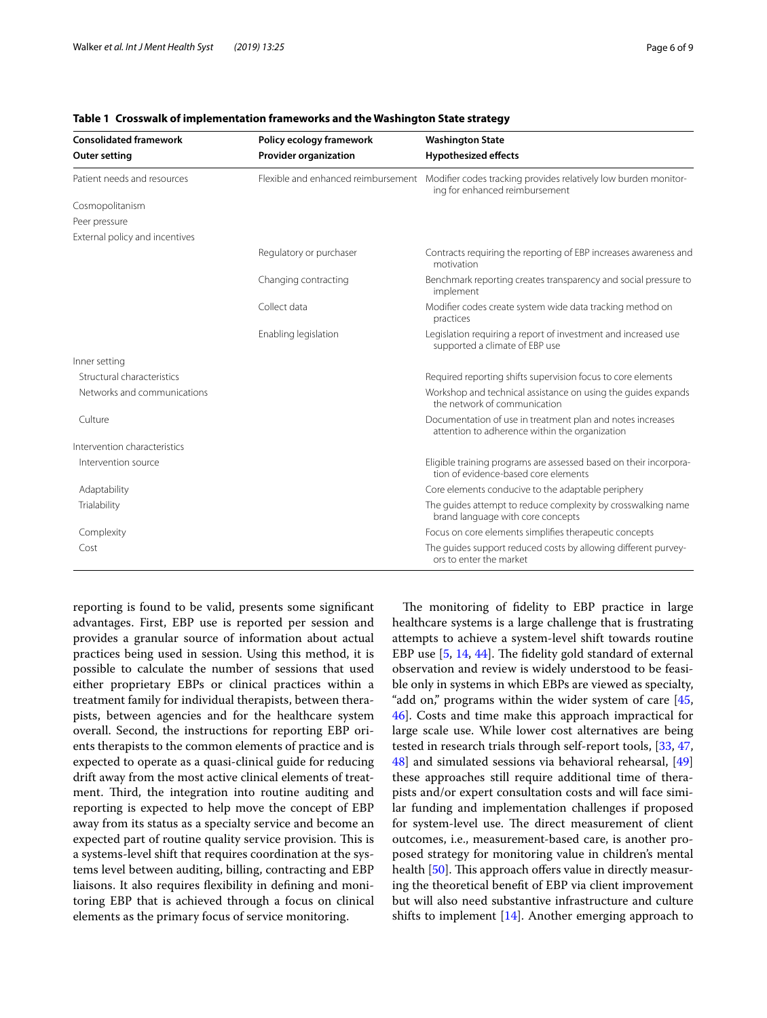| <b>Consolidated framework</b><br><b>Outer setting</b> | Policy ecology framework<br><b>Provider organization</b> | <b>Washington State</b><br><b>Hypothesized effects</b>                                                       |
|-------------------------------------------------------|----------------------------------------------------------|--------------------------------------------------------------------------------------------------------------|
|                                                       |                                                          |                                                                                                              |
| Cosmopolitanism                                       |                                                          |                                                                                                              |
| Peer pressure                                         |                                                          |                                                                                                              |
| External policy and incentives                        |                                                          |                                                                                                              |
|                                                       | Regulatory or purchaser                                  | Contracts requiring the reporting of EBP increases awareness and<br>motivation                               |
|                                                       | Changing contracting                                     | Benchmark reporting creates transparency and social pressure to<br>implement                                 |
|                                                       | Collect data                                             | Modifier codes create system wide data tracking method on<br>practices                                       |
|                                                       | Enabling legislation                                     | Legislation requiring a report of investment and increased use<br>supported a climate of EBP use             |
| Inner setting                                         |                                                          |                                                                                                              |
| Structural characteristics                            |                                                          | Required reporting shifts supervision focus to core elements                                                 |
| Networks and communications                           |                                                          | Workshop and technical assistance on using the quides expands<br>the network of communication                |
| Culture                                               |                                                          | Documentation of use in treatment plan and notes increases<br>attention to adherence within the organization |
| Intervention characteristics                          |                                                          |                                                                                                              |
| Intervention source                                   |                                                          | Eligible training programs are assessed based on their incorpora-<br>tion of evidence-based core elements    |
| Adaptability                                          |                                                          | Core elements conducive to the adaptable periphery                                                           |
| Trialability                                          |                                                          | The quides attempt to reduce complexity by crosswalking name<br>brand language with core concepts            |
| Complexity                                            |                                                          | Focus on core elements simplifies therapeutic concepts                                                       |
| Cost                                                  |                                                          | The quides support reduced costs by allowing different purvey-<br>ors to enter the market                    |

## <span id="page-5-0"></span>**Table 1 Crosswalk of implementation frameworks and the Washington State strategy**

reporting is found to be valid, presents some signifcant advantages. First, EBP use is reported per session and provides a granular source of information about actual practices being used in session. Using this method, it is possible to calculate the number of sessions that used either proprietary EBPs or clinical practices within a treatment family for individual therapists, between therapists, between agencies and for the healthcare system overall. Second, the instructions for reporting EBP orients therapists to the common elements of practice and is expected to operate as a quasi-clinical guide for reducing drift away from the most active clinical elements of treatment. Third, the integration into routine auditing and reporting is expected to help move the concept of EBP away from its status as a specialty service and become an expected part of routine quality service provision. This is a systems-level shift that requires coordination at the systems level between auditing, billing, contracting and EBP liaisons. It also requires fexibility in defning and monitoring EBP that is achieved through a focus on clinical elements as the primary focus of service monitoring.

The monitoring of fidelity to EBP practice in large healthcare systems is a large challenge that is frustrating attempts to achieve a system-level shift towards routine EBP use  $[5, 14, 44]$  $[5, 14, 44]$  $[5, 14, 44]$  $[5, 14, 44]$  $[5, 14, 44]$ . The fidelity gold standard of external observation and review is widely understood to be feasible only in systems in which EBPs are viewed as specialty, "add on," programs within the wider system of care [[45](#page-8-19), [46\]](#page-8-20). Costs and time make this approach impractical for large scale use. While lower cost alternatives are being tested in research trials through self-report tools, [[33,](#page-8-8) [47](#page-8-21), [48\]](#page-8-22) and simulated sessions via behavioral rehearsal, [[49](#page-8-23)] these approaches still require additional time of therapists and/or expert consultation costs and will face similar funding and implementation challenges if proposed for system-level use. The direct measurement of client outcomes, i.e., measurement-based care, is another proposed strategy for monitoring value in children's mental health [[50\]](#page-8-24). This approach offers value in directly measuring the theoretical beneft of EBP via client improvement but will also need substantive infrastructure and culture shifts to implement  $[14]$  $[14]$ . Another emerging approach to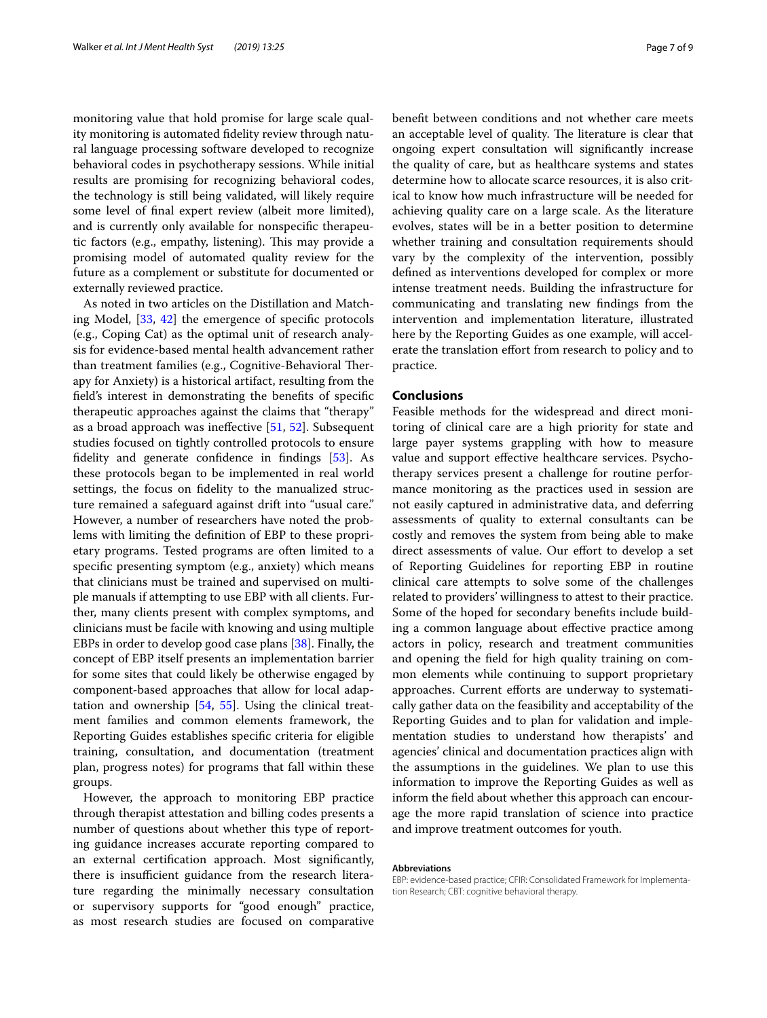monitoring value that hold promise for large scale quality monitoring is automated fdelity review through natural language processing software developed to recognize behavioral codes in psychotherapy sessions. While initial results are promising for recognizing behavioral codes, the technology is still being validated, will likely require some level of fnal expert review (albeit more limited), and is currently only available for nonspecifc therapeutic factors (e.g., empathy, listening). This may provide a promising model of automated quality review for the future as a complement or substitute for documented or externally reviewed practice.

As noted in two articles on the Distillation and Matching Model, [[33,](#page-8-8) [42](#page-8-16)] the emergence of specifc protocols (e.g., Coping Cat) as the optimal unit of research analysis for evidence-based mental health advancement rather than treatment families (e.g., Cognitive-Behavioral Therapy for Anxiety) is a historical artifact, resulting from the feld's interest in demonstrating the benefts of specifc therapeutic approaches against the claims that "therapy" as a broad approach was inefective [[51,](#page-8-25) [52\]](#page-8-26). Subsequent studies focused on tightly controlled protocols to ensure fdelity and generate confdence in fndings [[53](#page-8-27)]. As these protocols began to be implemented in real world settings, the focus on fdelity to the manualized structure remained a safeguard against drift into "usual care." However, a number of researchers have noted the problems with limiting the defnition of EBP to these proprietary programs. Tested programs are often limited to a specifc presenting symptom (e.g., anxiety) which means that clinicians must be trained and supervised on multiple manuals if attempting to use EBP with all clients. Further, many clients present with complex symptoms, and clinicians must be facile with knowing and using multiple EBPs in order to develop good case plans [[38\]](#page-8-13). Finally, the concept of EBP itself presents an implementation barrier for some sites that could likely be otherwise engaged by component-based approaches that allow for local adaptation and ownership [\[54](#page-8-28), [55](#page-8-29)]. Using the clinical treatment families and common elements framework, the Reporting Guides establishes specifc criteria for eligible training, consultation, and documentation (treatment plan, progress notes) for programs that fall within these groups.

However, the approach to monitoring EBP practice through therapist attestation and billing codes presents a number of questions about whether this type of reporting guidance increases accurate reporting compared to an external certifcation approach. Most signifcantly, there is insufficient guidance from the research literature regarding the minimally necessary consultation or supervisory supports for "good enough" practice, as most research studies are focused on comparative beneft between conditions and not whether care meets an acceptable level of quality. The literature is clear that ongoing expert consultation will signifcantly increase the quality of care, but as healthcare systems and states determine how to allocate scarce resources, it is also critical to know how much infrastructure will be needed for achieving quality care on a large scale. As the literature evolves, states will be in a better position to determine whether training and consultation requirements should vary by the complexity of the intervention, possibly defned as interventions developed for complex or more intense treatment needs. Building the infrastructure for communicating and translating new fndings from the intervention and implementation literature, illustrated here by the Reporting Guides as one example, will accelerate the translation effort from research to policy and to practice.

#### **Conclusions**

Feasible methods for the widespread and direct monitoring of clinical care are a high priority for state and large payer systems grappling with how to measure value and support efective healthcare services. Psychotherapy services present a challenge for routine performance monitoring as the practices used in session are not easily captured in administrative data, and deferring assessments of quality to external consultants can be costly and removes the system from being able to make direct assessments of value. Our effort to develop a set of Reporting Guidelines for reporting EBP in routine clinical care attempts to solve some of the challenges related to providers' willingness to attest to their practice. Some of the hoped for secondary benefts include building a common language about efective practice among actors in policy, research and treatment communities and opening the feld for high quality training on common elements while continuing to support proprietary approaches. Current efforts are underway to systematically gather data on the feasibility and acceptability of the Reporting Guides and to plan for validation and implementation studies to understand how therapists' and agencies' clinical and documentation practices align with the assumptions in the guidelines. We plan to use this information to improve the Reporting Guides as well as inform the feld about whether this approach can encourage the more rapid translation of science into practice and improve treatment outcomes for youth.

#### **Abbreviations**

EBP: evidence-based practice; CFIR: Consolidated Framework for Implementation Research; CBT: cognitive behavioral therapy.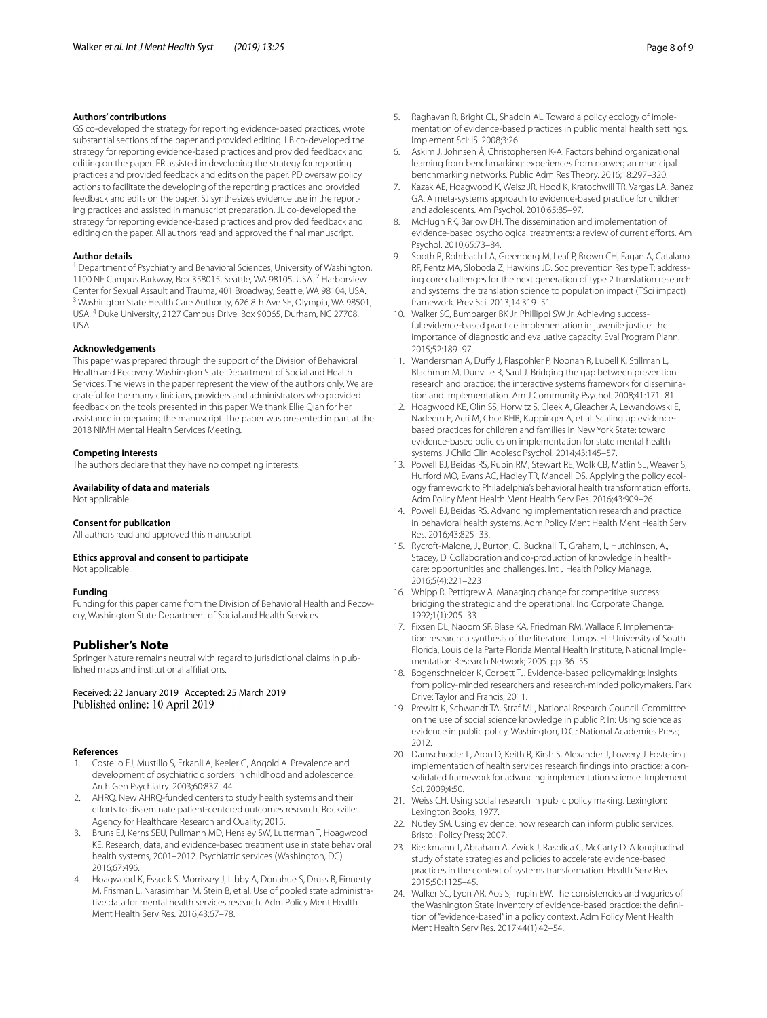#### **Authors' contributions**

GS co-developed the strategy for reporting evidence-based practices, wrote substantial sections of the paper and provided editing. LB co-developed the strategy for reporting evidence-based practices and provided feedback and editing on the paper. FR assisted in developing the strategy for reporting practices and provided feedback and edits on the paper. PD oversaw policy actions to facilitate the developing of the reporting practices and provided feedback and edits on the paper. SJ synthesizes evidence use in the reporting practices and assisted in manuscript preparation. JL co-developed the strategy for reporting evidence-based practices and provided feedback and editing on the paper. All authors read and approved the fnal manuscript.

#### **Author details**

<sup>1</sup> Department of Psychiatry and Behavioral Sciences, University of Washington, 1100 NE Campus Parkway, Box 358015, Seattle, WA 98105, USA. 2 Harborview Center for Sexual Assault and Trauma, 401 Broadway, Seattle, WA 98104, USA.<br><sup>3</sup> Washington State Health Care Authority, 626 8th Ave SE, Olympia, WA 98501, USA. <sup>4</sup> Duke University, 2127 Campus Drive, Box 90065, Durham, NC 27708, USA.

#### **Acknowledgements**

This paper was prepared through the support of the Division of Behavioral Health and Recovery, Washington State Department of Social and Health Services. The views in the paper represent the view of the authors only. We are grateful for the many clinicians, providers and administrators who provided feedback on the tools presented in this paper. We thank Ellie Qian for her assistance in preparing the manuscript. The paper was presented in part at the 2018 NIMH Mental Health Services Meeting.

#### **Competing interests**

The authors declare that they have no competing interests.

#### **Availability of data and materials**

Not applicable.

#### **Consent for publication**

All authors read and approved this manuscript.

# **Ethics approval and consent to participate**

Not applicable.

#### **Funding**

Funding for this paper came from the Division of Behavioral Health and Recovery, Washington State Department of Social and Health Services.

## **Publisher's Note**

Springer Nature remains neutral with regard to jurisdictional claims in published maps and institutional afliations.

#### Received: 22 January 2019 Accepted: 25 March 2019 Published online: 10 April 2019

#### **References**

- <span id="page-7-0"></span>1. Costello EJ, Mustillo S, Erkanli A, Keeler G, Angold A. Prevalence and development of psychiatric disorders in childhood and adolescence. Arch Gen Psychiatry. 2003;60:837–44.
- <span id="page-7-1"></span>2. AHRQ. New AHRQ-funded centers to study health systems and their efforts to disseminate patient-centered outcomes research. Rockville: Agency for Healthcare Research and Quality; 2015.
- <span id="page-7-2"></span>3. Bruns EJ, Kerns SEU, Pullmann MD, Hensley SW, Lutterman T, Hoagwood KE. Research, data, and evidence-based treatment use in state behavioral health systems, 2001–2012. Psychiatric services (Washington, DC). 2016;67:496.
- <span id="page-7-3"></span>4. Hoagwood K, Essock S, Morrissey J, Libby A, Donahue S, Druss B, Finnerty M, Frisman L, Narasimhan M, Stein B, et al. Use of pooled state administrative data for mental health services research. Adm Policy Ment Health Ment Health Serv Res. 2016;43:67–78.
- <span id="page-7-4"></span>5. Raghavan R, Bright CL, Shadoin AL. Toward a policy ecology of implementation of evidence-based practices in public mental health settings. Implement Sci: IS. 2008;3:26.
- <span id="page-7-5"></span>6. Askim J, Johnsen Å, Christophersen K-A. Factors behind organizational learning from benchmarking: experiences from norwegian municipal benchmarking networks. Public Adm Res Theory. 2016;18:297–320.
- <span id="page-7-6"></span>7. Kazak AE, Hoagwood K, Weisz JR, Hood K, Kratochwill TR, Vargas LA, Banez GA. A meta-systems approach to evidence-based practice for children and adolescents. Am Psychol. 2010;65:85–97.
- 8. McHugh RK, Barlow DH. The dissemination and implementation of evidence-based psychological treatments: a review of current efforts. Am Psychol. 2010;65:73–84.
- 9. Spoth R, Rohrbach LA, Greenberg M, Leaf P, Brown CH, Fagan A, Catalano RF, Pentz MA, Sloboda Z, Hawkins JD. Soc prevention Res type T: addressing core challenges for the next generation of type 2 translation research and systems: the translation science to population impact (TSci impact) framework. Prev Sci. 2013;14:319–51.
- 10. Walker SC, Bumbarger BK Jr, Phillippi SW Jr. Achieving successful evidence-based practice implementation in juvenile justice: the importance of diagnostic and evaluative capacity. Eval Program Plann. 2015;52:189–97.
- <span id="page-7-7"></span>11. Wandersman A, Dufy J, Flaspohler P, Noonan R, Lubell K, Stillman L, Blachman M, Dunville R, Saul J. Bridging the gap between prevention research and practice: the interactive systems framework for dissemination and implementation. Am J Community Psychol. 2008;41:171–81.
- <span id="page-7-8"></span>12. Hoagwood KE, Olin SS, Horwitz S, Cleek A, Gleacher A, Lewandowski E, Nadeem E, Acri M, Chor KHB, Kuppinger A, et al. Scaling up evidencebased practices for children and families in New York State: toward evidence-based policies on implementation for state mental health systems. J Child Clin Adolesc Psychol. 2014;43:145–57.
- <span id="page-7-9"></span>13. Powell BJ, Beidas RS, Rubin RM, Stewart RE, Wolk CB, Matlin SL, Weaver S, Hurford MO, Evans AC, Hadley TR, Mandell DS. Applying the policy ecology framework to Philadelphia's behavioral health transformation efforts. Adm Policy Ment Health Ment Health Serv Res. 2016;43:909–26.
- <span id="page-7-10"></span>14. Powell BJ, Beidas RS. Advancing implementation research and practice in behavioral health systems. Adm Policy Ment Health Ment Health Serv Res. 2016;43:825–33.
- <span id="page-7-11"></span>15. Rycroft-Malone, J., Burton, C., Bucknall, T., Graham, I., Hutchinson, A., Stacey, D. Collaboration and co-production of knowledge in healthcare: opportunities and challenges. Int J Health Policy Manage. 2016;5(4):221–223
- 16. Whipp R, Pettigrew A. Managing change for competitive success: bridging the strategic and the operational. Ind Corporate Change. 1992;1(1):205–33
- <span id="page-7-12"></span>17. Fixsen DL, Naoom SF, Blase KA, Friedman RM, Wallace F. Implementation research: a synthesis of the literature. Tamps, FL: University of South Florida, Louis de la Parte Florida Mental Health Institute, National Implementation Research Network; 2005. pp. 36–55
- <span id="page-7-13"></span>18. Bogenschneider K, Corbett TJ. Evidence-based policymaking: Insights from policy-minded researchers and research-minded policymakers. Park Drive: Taylor and Francis; 2011.
- <span id="page-7-14"></span>19. Prewitt K, Schwandt TA, Straf ML, National Research Council. Committee on the use of social science knowledge in public P. In: Using science as evidence in public policy. Washington, D.C.: National Academies Press; 2012.
- <span id="page-7-15"></span>20. Damschroder L, Aron D, Keith R, Kirsh S, Alexander J, Lowery J. Fostering implementation of health services research fndings into practice: a consolidated framework for advancing implementation science. Implement Sci. 2009;4:50.
- <span id="page-7-16"></span>21. Weiss CH. Using social research in public policy making. Lexington: Lexington Books; 1977.
- <span id="page-7-17"></span>22. Nutley SM. Using evidence: how research can inform public services. Bristol: Policy Press; 2007.
- <span id="page-7-18"></span>23. Rieckmann T, Abraham A, Zwick J, Rasplica C, McCarty D. A longitudinal study of state strategies and policies to accelerate evidence-based practices in the context of systems transformation. Health Serv Res. 2015;50:1125–45.
- <span id="page-7-19"></span>24. Walker SC, Lyon AR, Aos S, Trupin EW. The consistencies and vagaries of the Washington State Inventory of evidence-based practice: the defnition of "evidence-based" in a policy context. Adm Policy Ment Health Ment Health Serv Res. 2017;44(1):42–54.